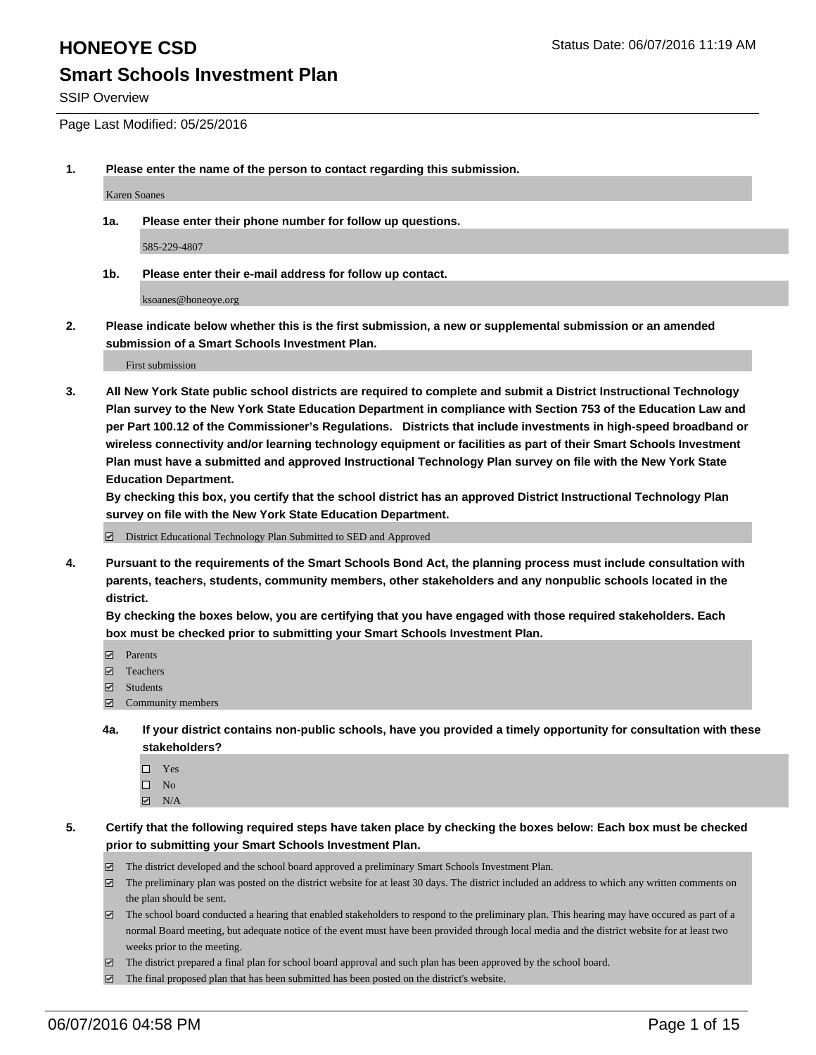SSIP Overview

Page Last Modified: 05/25/2016

**1. Please enter the name of the person to contact regarding this submission.**

Karen Soanes

**1a. Please enter their phone number for follow up questions.**

585-229-4807

**1b. Please enter their e-mail address for follow up contact.**

ksoanes@honeoye.org

**2. Please indicate below whether this is the first submission, a new or supplemental submission or an amended submission of a Smart Schools Investment Plan.**

First submission

**3. All New York State public school districts are required to complete and submit a District Instructional Technology Plan survey to the New York State Education Department in compliance with Section 753 of the Education Law and per Part 100.12 of the Commissioner's Regulations. Districts that include investments in high-speed broadband or wireless connectivity and/or learning technology equipment or facilities as part of their Smart Schools Investment Plan must have a submitted and approved Instructional Technology Plan survey on file with the New York State Education Department.** 

**By checking this box, you certify that the school district has an approved District Instructional Technology Plan survey on file with the New York State Education Department.**

District Educational Technology Plan Submitted to SED and Approved

**4. Pursuant to the requirements of the Smart Schools Bond Act, the planning process must include consultation with parents, teachers, students, community members, other stakeholders and any nonpublic schools located in the district.** 

**By checking the boxes below, you are certifying that you have engaged with those required stakeholders. Each box must be checked prior to submitting your Smart Schools Investment Plan.**

- **Parents**
- Teachers
- Students
- Community members
- **4a. If your district contains non-public schools, have you provided a timely opportunity for consultation with these stakeholders?**
	- $\Box$  Yes  $\square$  No
	- $\boxtimes$  N/A
- **5. Certify that the following required steps have taken place by checking the boxes below: Each box must be checked prior to submitting your Smart Schools Investment Plan.**
	- The district developed and the school board approved a preliminary Smart Schools Investment Plan.
	- $\boxdot$  The preliminary plan was posted on the district website for at least 30 days. The district included an address to which any written comments on the plan should be sent.
	- $\Box$  The school board conducted a hearing that enabled stakeholders to respond to the preliminary plan. This hearing may have occured as part of a normal Board meeting, but adequate notice of the event must have been provided through local media and the district website for at least two weeks prior to the meeting.
	- The district prepared a final plan for school board approval and such plan has been approved by the school board.
	- $\boxdot$  The final proposed plan that has been submitted has been posted on the district's website.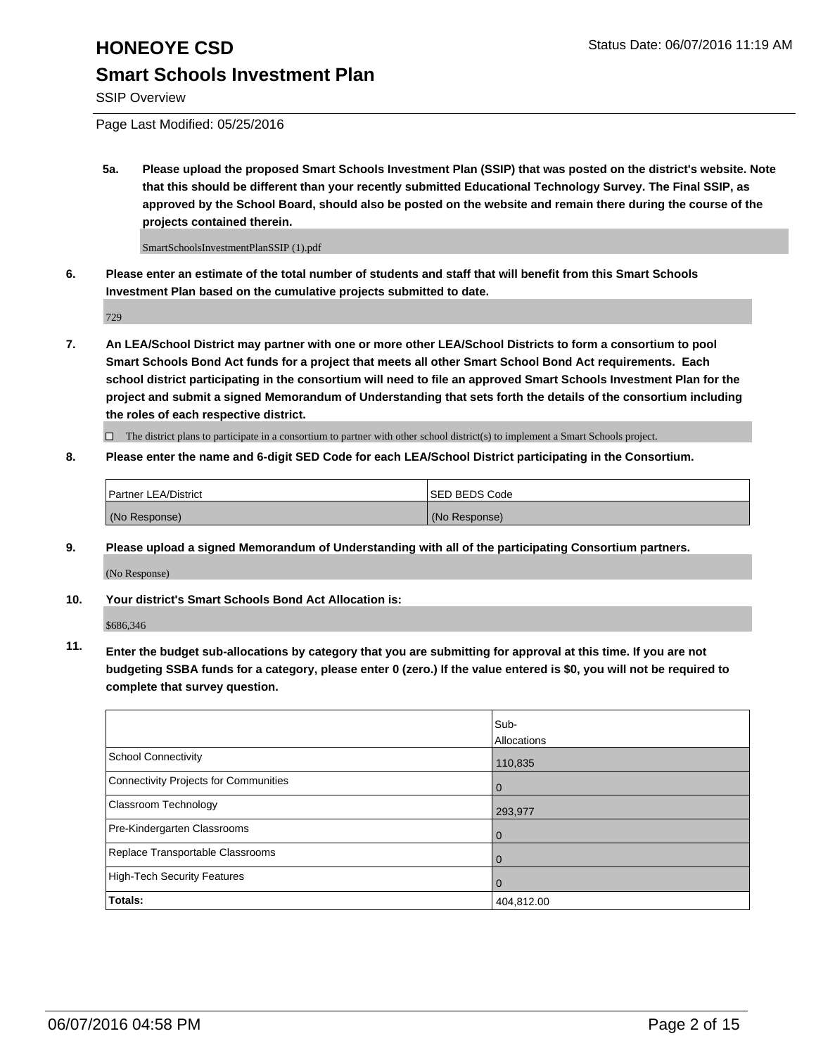SSIP Overview

Page Last Modified: 05/25/2016

**5a. Please upload the proposed Smart Schools Investment Plan (SSIP) that was posted on the district's website. Note that this should be different than your recently submitted Educational Technology Survey. The Final SSIP, as approved by the School Board, should also be posted on the website and remain there during the course of the projects contained therein.**

SmartSchoolsInvestmentPlanSSIP (1).pdf

**6. Please enter an estimate of the total number of students and staff that will benefit from this Smart Schools Investment Plan based on the cumulative projects submitted to date.**

729

**7. An LEA/School District may partner with one or more other LEA/School Districts to form a consortium to pool Smart Schools Bond Act funds for a project that meets all other Smart School Bond Act requirements. Each school district participating in the consortium will need to file an approved Smart Schools Investment Plan for the project and submit a signed Memorandum of Understanding that sets forth the details of the consortium including the roles of each respective district.**

 $\Box$  The district plans to participate in a consortium to partner with other school district(s) to implement a Smart Schools project.

**8. Please enter the name and 6-digit SED Code for each LEA/School District participating in the Consortium.**

| <b>Partner LEA/District</b> | ISED BEDS Code |
|-----------------------------|----------------|
| (No Response)               | (No Response)  |

**9. Please upload a signed Memorandum of Understanding with all of the participating Consortium partners.**

(No Response)

**10. Your district's Smart Schools Bond Act Allocation is:**

\$686,346

**11. Enter the budget sub-allocations by category that you are submitting for approval at this time. If you are not budgeting SSBA funds for a category, please enter 0 (zero.) If the value entered is \$0, you will not be required to complete that survey question.**

|                                       | Sub-        |
|---------------------------------------|-------------|
|                                       | Allocations |
| School Connectivity                   | 110,835     |
| Connectivity Projects for Communities | 0           |
| <b>Classroom Technology</b>           | 293,977     |
| Pre-Kindergarten Classrooms           |             |
| Replace Transportable Classrooms      | $\Omega$    |
| High-Tech Security Features           |             |
| <b>Totals:</b>                        | 404,812.00  |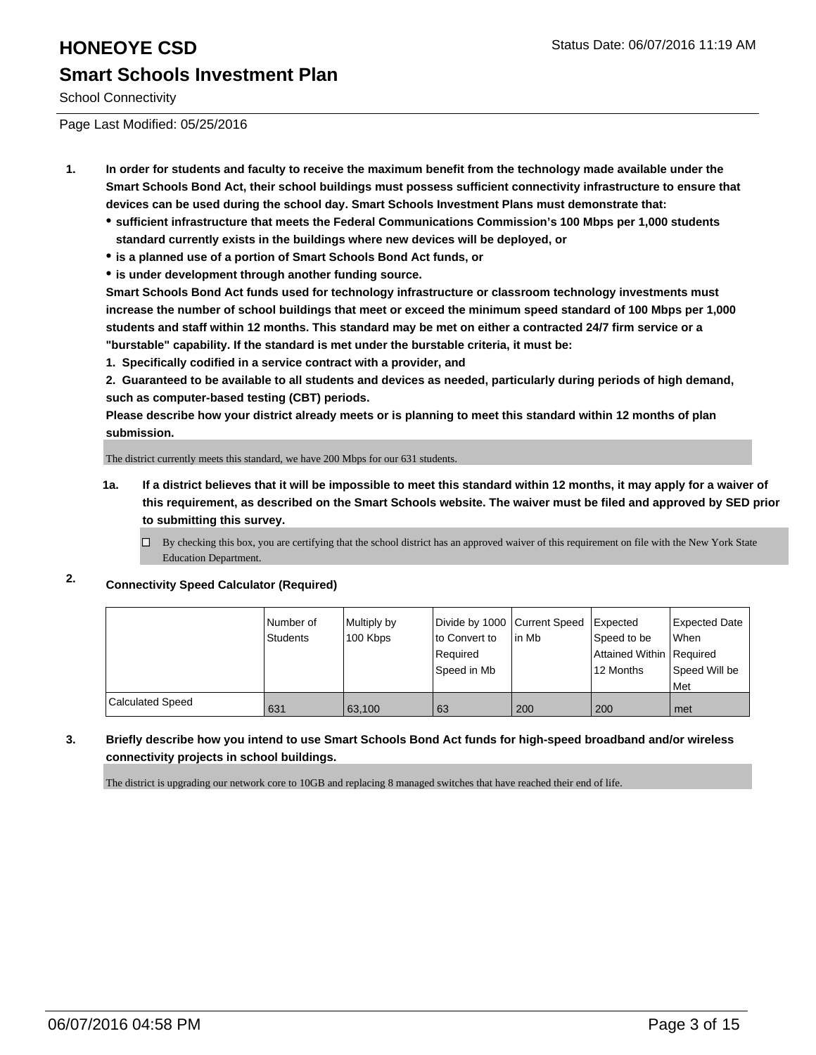## **HONEOYE CSD Status Date: 06/07/2016 11:19 AM Smart Schools Investment Plan**

School Connectivity

Page Last Modified: 05/25/2016

- **1. In order for students and faculty to receive the maximum benefit from the technology made available under the Smart Schools Bond Act, their school buildings must possess sufficient connectivity infrastructure to ensure that devices can be used during the school day. Smart Schools Investment Plans must demonstrate that:**
	- **sufficient infrastructure that meets the Federal Communications Commission's 100 Mbps per 1,000 students standard currently exists in the buildings where new devices will be deployed, or**
	- **is a planned use of a portion of Smart Schools Bond Act funds, or**
	- **is under development through another funding source.**

**Smart Schools Bond Act funds used for technology infrastructure or classroom technology investments must increase the number of school buildings that meet or exceed the minimum speed standard of 100 Mbps per 1,000 students and staff within 12 months. This standard may be met on either a contracted 24/7 firm service or a "burstable" capability. If the standard is met under the burstable criteria, it must be:**

**1. Specifically codified in a service contract with a provider, and**

**2. Guaranteed to be available to all students and devices as needed, particularly during periods of high demand, such as computer-based testing (CBT) periods.**

**Please describe how your district already meets or is planning to meet this standard within 12 months of plan submission.**

The district currently meets this standard, we have 200 Mbps for our 631 students.

- **1a. If a district believes that it will be impossible to meet this standard within 12 months, it may apply for a waiver of this requirement, as described on the Smart Schools website. The waiver must be filed and approved by SED prior to submitting this survey.**
	- $\Box$  By checking this box, you are certifying that the school district has an approved waiver of this requirement on file with the New York State Education Department.

### **2. Connectivity Speed Calculator (Required)**

|                         | Number of<br>Students | Multiply by<br>100 Kbps | Divide by 1000   Current Speed<br>to Convert to<br>Required<br>Speed in Mb | l in Mb | Expected<br>Speed to be<br>Attained Within Required<br>12 Months | Expected Date<br><b>When</b><br>Speed Will be<br><b>IMet</b> |
|-------------------------|-----------------------|-------------------------|----------------------------------------------------------------------------|---------|------------------------------------------------------------------|--------------------------------------------------------------|
| <b>Calculated Speed</b> | 631                   | 63.100                  | 63                                                                         | 200     | 200                                                              | l met                                                        |

### **3. Briefly describe how you intend to use Smart Schools Bond Act funds for high-speed broadband and/or wireless connectivity projects in school buildings.**

The district is upgrading our network core to 10GB and replacing 8 managed switches that have reached their end of life.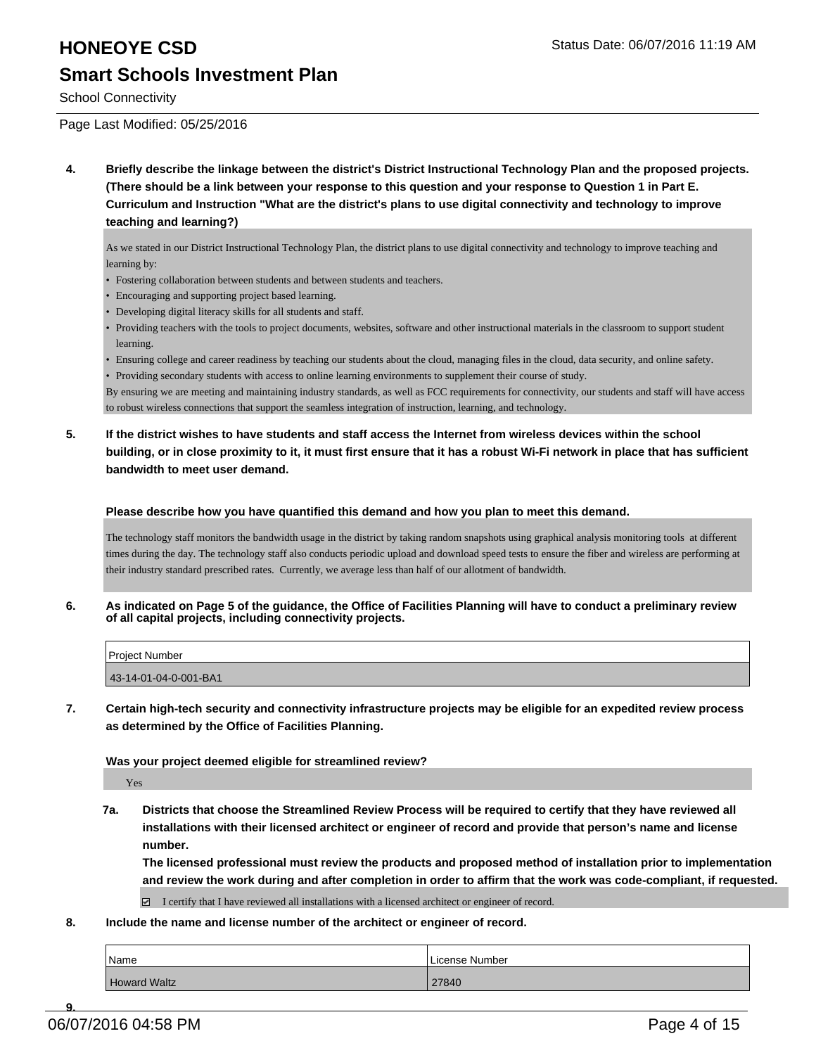## **HONEOYE CSD Status Date: 06/07/2016 11:19 AM Smart Schools Investment Plan**

School Connectivity

Page Last Modified: 05/25/2016

**4. Briefly describe the linkage between the district's District Instructional Technology Plan and the proposed projects. (There should be a link between your response to this question and your response to Question 1 in Part E. Curriculum and Instruction "What are the district's plans to use digital connectivity and technology to improve teaching and learning?)**

As we stated in our District Instructional Technology Plan, the district plans to use digital connectivity and technology to improve teaching and learning by:

- Fostering collaboration between students and between students and teachers.
- Encouraging and supporting project based learning.
- Developing digital literacy skills for all students and staff.
- Providing teachers with the tools to project documents, websites, software and other instructional materials in the classroom to support student learning.
- Ensuring college and career readiness by teaching our students about the cloud, managing files in the cloud, data security, and online safety.

• Providing secondary students with access to online learning environments to supplement their course of study.

By ensuring we are meeting and maintaining industry standards, as well as FCC requirements for connectivity, our students and staff will have access to robust wireless connections that support the seamless integration of instruction, learning, and technology.

**5. If the district wishes to have students and staff access the Internet from wireless devices within the school building, or in close proximity to it, it must first ensure that it has a robust Wi-Fi network in place that has sufficient bandwidth to meet user demand.**

**Please describe how you have quantified this demand and how you plan to meet this demand.**

The technology staff monitors the bandwidth usage in the district by taking random snapshots using graphical analysis monitoring tools at different times during the day. The technology staff also conducts periodic upload and download speed tests to ensure the fiber and wireless are performing at their industry standard prescribed rates. Currently, we average less than half of our allotment of bandwidth.

**6. As indicated on Page 5 of the guidance, the Office of Facilities Planning will have to conduct a preliminary review of all capital projects, including connectivity projects.**

| <b>Project Number</b> |  |
|-----------------------|--|
| 43-14-01-04-0-001-BA1 |  |

**7. Certain high-tech security and connectivity infrastructure projects may be eligible for an expedited review process as determined by the Office of Facilities Planning.**

**Was your project deemed eligible for streamlined review?**

Yes

**7a. Districts that choose the Streamlined Review Process will be required to certify that they have reviewed all installations with their licensed architect or engineer of record and provide that person's name and license number.**

**The licensed professional must review the products and proposed method of installation prior to implementation and review the work during and after completion in order to affirm that the work was code-compliant, if requested.**

 $\Box$  I certify that I have reviewed all installations with a licensed architect or engineer of record.

**8. Include the name and license number of the architect or engineer of record.**

| Name                | License Number |
|---------------------|----------------|
| <b>Howard Waltz</b> | 27840          |

**9.** 06/07/2016 04:58 PM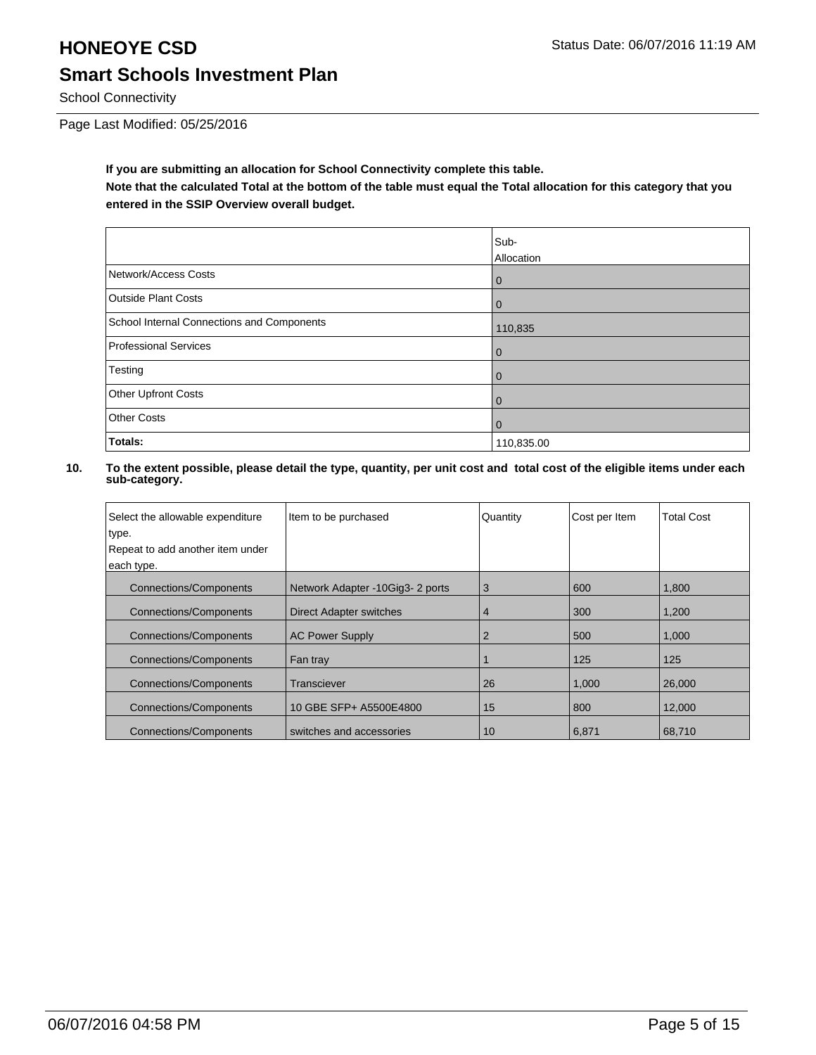## **HONEOYE CSD** Status Date: 06/07/2016 11:19 AM **Smart Schools Investment Plan**

School Connectivity

Page Last Modified: 05/25/2016

**If you are submitting an allocation for School Connectivity complete this table.**

**Note that the calculated Total at the bottom of the table must equal the Total allocation for this category that you entered in the SSIP Overview overall budget.** 

|                                            | Sub-<br>Allocation |
|--------------------------------------------|--------------------|
| Network/Access Costs                       | O                  |
| Outside Plant Costs                        |                    |
| School Internal Connections and Components | 110,835            |
| Professional Services                      | O                  |
| Testing                                    |                    |
| Other Upfront Costs                        |                    |
| Other Costs                                |                    |
| <b>Totals:</b>                             | 110,835.00         |

| Select the allowable expenditure | Item to be purchased             | Quantity | Cost per Item | <b>Total Cost</b> |
|----------------------------------|----------------------------------|----------|---------------|-------------------|
| type.                            |                                  |          |               |                   |
| Repeat to add another item under |                                  |          |               |                   |
| each type.                       |                                  |          |               |                   |
| <b>Connections/Components</b>    | Network Adapter -10Gig3- 2 ports | 3        | 600           | 1,800             |
| <b>Connections/Components</b>    | <b>Direct Adapter switches</b>   | 4        | 300           | 1,200             |
| <b>Connections/Components</b>    | <b>AC Power Supply</b>           | 2        | 500           | 1,000             |
| <b>Connections/Components</b>    | Fan tray                         |          | 125           | 125               |
| <b>Connections/Components</b>    | Transciever                      | 26       | 1,000         | 26,000            |
| <b>Connections/Components</b>    | 10 GBE SFP+ A5500E4800           | 15       | 800           | 12,000            |
| <b>Connections/Components</b>    | switches and accessories         | 10       | 6.871         | 68.710            |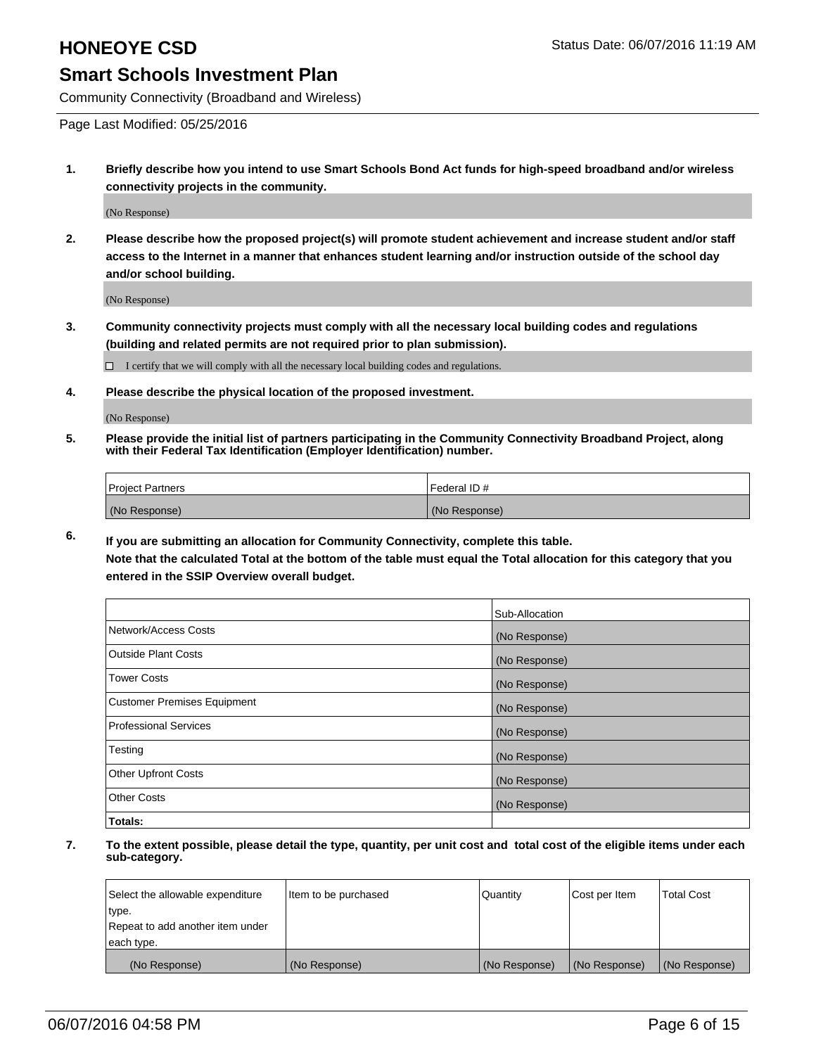Community Connectivity (Broadband and Wireless)

Page Last Modified: 05/25/2016

**1. Briefly describe how you intend to use Smart Schools Bond Act funds for high-speed broadband and/or wireless connectivity projects in the community.**

(No Response)

**2. Please describe how the proposed project(s) will promote student achievement and increase student and/or staff access to the Internet in a manner that enhances student learning and/or instruction outside of the school day and/or school building.**

(No Response)

**3. Community connectivity projects must comply with all the necessary local building codes and regulations (building and related permits are not required prior to plan submission).**

 $\Box$  I certify that we will comply with all the necessary local building codes and regulations.

**4. Please describe the physical location of the proposed investment.**

(No Response)

**5. Please provide the initial list of partners participating in the Community Connectivity Broadband Project, along with their Federal Tax Identification (Employer Identification) number.**

| Project Partners | I Federal ID # |
|------------------|----------------|
| (No Response)    | (No Response)  |

**6. If you are submitting an allocation for Community Connectivity, complete this table.**

**Note that the calculated Total at the bottom of the table must equal the Total allocation for this category that you entered in the SSIP Overview overall budget.**

|                                    | Sub-Allocation |
|------------------------------------|----------------|
| Network/Access Costs               | (No Response)  |
| <b>Outside Plant Costs</b>         | (No Response)  |
| <b>Tower Costs</b>                 | (No Response)  |
| <b>Customer Premises Equipment</b> | (No Response)  |
| Professional Services              | (No Response)  |
| Testing                            | (No Response)  |
| <b>Other Upfront Costs</b>         | (No Response)  |
| Other Costs                        | (No Response)  |
| Totals:                            |                |

| Select the allowable expenditure | Item to be purchased | Quantity      | Cost per Item | <b>Total Cost</b> |
|----------------------------------|----------------------|---------------|---------------|-------------------|
| type.                            |                      |               |               |                   |
| Repeat to add another item under |                      |               |               |                   |
| each type.                       |                      |               |               |                   |
| (No Response)                    | (No Response)        | (No Response) | (No Response) | (No Response)     |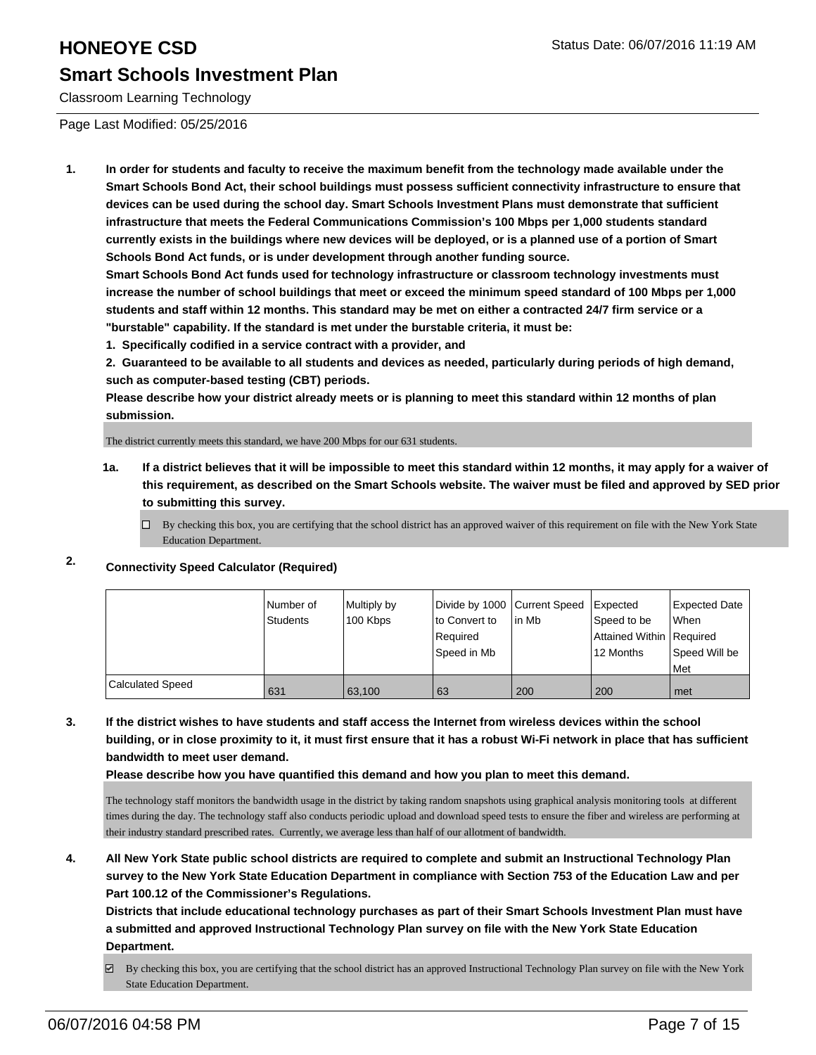Classroom Learning Technology

Page Last Modified: 05/25/2016

**1. In order for students and faculty to receive the maximum benefit from the technology made available under the Smart Schools Bond Act, their school buildings must possess sufficient connectivity infrastructure to ensure that devices can be used during the school day. Smart Schools Investment Plans must demonstrate that sufficient infrastructure that meets the Federal Communications Commission's 100 Mbps per 1,000 students standard currently exists in the buildings where new devices will be deployed, or is a planned use of a portion of Smart Schools Bond Act funds, or is under development through another funding source.**

**Smart Schools Bond Act funds used for technology infrastructure or classroom technology investments must increase the number of school buildings that meet or exceed the minimum speed standard of 100 Mbps per 1,000 students and staff within 12 months. This standard may be met on either a contracted 24/7 firm service or a "burstable" capability. If the standard is met under the burstable criteria, it must be:**

**1. Specifically codified in a service contract with a provider, and**

**2. Guaranteed to be available to all students and devices as needed, particularly during periods of high demand, such as computer-based testing (CBT) periods.**

**Please describe how your district already meets or is planning to meet this standard within 12 months of plan submission.**

The district currently meets this standard, we have 200 Mbps for our 631 students.

- **1a. If a district believes that it will be impossible to meet this standard within 12 months, it may apply for a waiver of this requirement, as described on the Smart Schools website. The waiver must be filed and approved by SED prior to submitting this survey.**
	- $\Box$  By checking this box, you are certifying that the school district has an approved waiver of this requirement on file with the New York State Education Department.

### **2. Connectivity Speed Calculator (Required)**

|                         | Number of<br>Students | Multiply by<br>100 Kbps | Divide by 1000 Current Speed   Expected<br>lto Convert to<br>Required<br>Speed in Mb | l in Mb | Speed to be<br>Attained Within   Required<br>12 Months | Expected Date<br><b>When</b><br>Speed Will be<br>l Met |
|-------------------------|-----------------------|-------------------------|--------------------------------------------------------------------------------------|---------|--------------------------------------------------------|--------------------------------------------------------|
| <b>Calculated Speed</b> | 631                   | 63.100                  | 63                                                                                   | 200     | 200                                                    | met                                                    |

**3. If the district wishes to have students and staff access the Internet from wireless devices within the school building, or in close proximity to it, it must first ensure that it has a robust Wi-Fi network in place that has sufficient bandwidth to meet user demand.**

**Please describe how you have quantified this demand and how you plan to meet this demand.**

The technology staff monitors the bandwidth usage in the district by taking random snapshots using graphical analysis monitoring tools at different times during the day. The technology staff also conducts periodic upload and download speed tests to ensure the fiber and wireless are performing at their industry standard prescribed rates. Currently, we average less than half of our allotment of bandwidth.

**4. All New York State public school districts are required to complete and submit an Instructional Technology Plan survey to the New York State Education Department in compliance with Section 753 of the Education Law and per Part 100.12 of the Commissioner's Regulations.**

**Districts that include educational technology purchases as part of their Smart Schools Investment Plan must have a submitted and approved Instructional Technology Plan survey on file with the New York State Education Department.**

By checking this box, you are certifying that the school district has an approved Instructional Technology Plan survey on file with the New York State Education Department.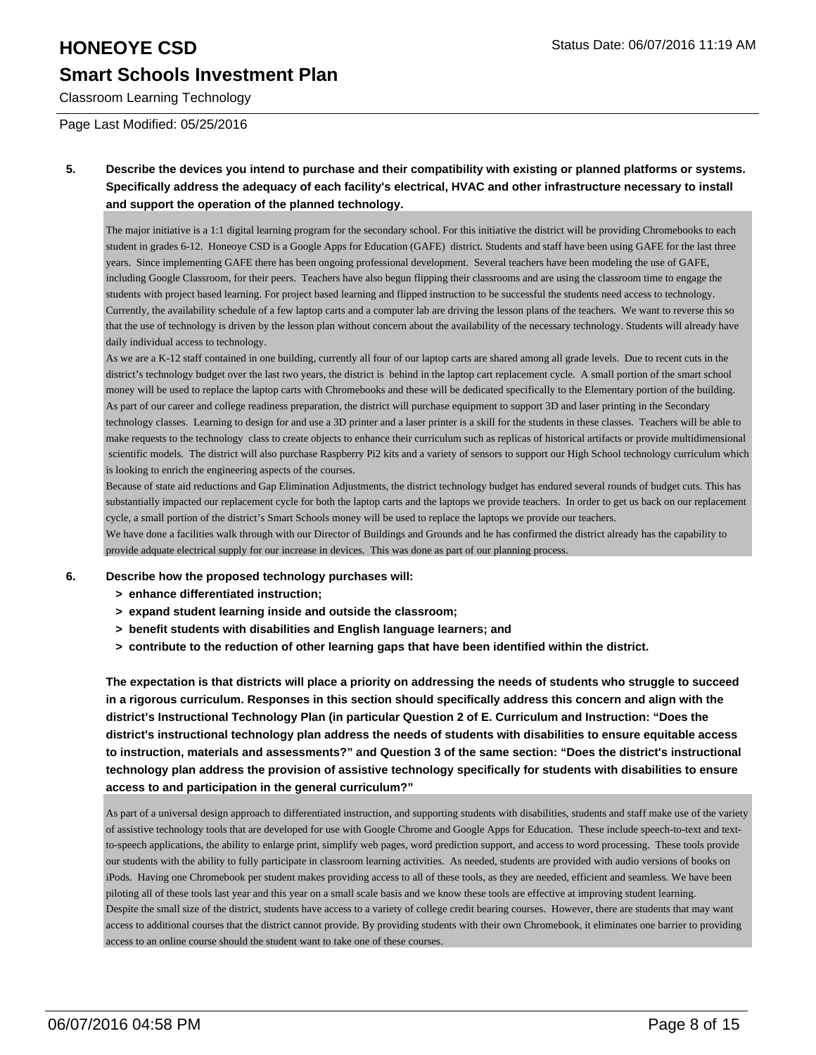## **HONEOYE CSD Status Date: 06/07/2016 11:19 AM**

## **Smart Schools Investment Plan**

Classroom Learning Technology

Page Last Modified: 05/25/2016

**5. Describe the devices you intend to purchase and their compatibility with existing or planned platforms or systems. Specifically address the adequacy of each facility's electrical, HVAC and other infrastructure necessary to install and support the operation of the planned technology.**

The major initiative is a 1:1 digital learning program for the secondary school. For this initiative the district will be providing Chromebooks to each student in grades 6-12. Honeoye CSD is a Google Apps for Education (GAFE) district. Students and staff have been using GAFE for the last three years. Since implementing GAFE there has been ongoing professional development. Several teachers have been modeling the use of GAFE, including Google Classroom, for their peers. Teachers have also begun flipping their classrooms and are using the classroom time to engage the students with project based learning. For project based learning and flipped instruction to be successful the students need access to technology. Currently, the availability schedule of a few laptop carts and a computer lab are driving the lesson plans of the teachers. We want to reverse this so that the use of technology is driven by the lesson plan without concern about the availability of the necessary technology. Students will already have daily individual access to technology.

As we are a K-12 staff contained in one building, currently all four of our laptop carts are shared among all grade levels. Due to recent cuts in the district's technology budget over the last two years, the district is behind in the laptop cart replacement cycle. A small portion of the smart school money will be used to replace the laptop carts with Chromebooks and these will be dedicated specifically to the Elementary portion of the building. As part of our career and college readiness preparation, the district will purchase equipment to support 3D and laser printing in the Secondary technology classes. Learning to design for and use a 3D printer and a laser printer is a skill for the students in these classes. Teachers will be able to make requests to the technology class to create objects to enhance their curriculum such as replicas of historical artifacts or provide multidimensional scientific models. The district will also purchase Raspberry Pi2 kits and a variety of sensors to support our High School technology curriculum which is looking to enrich the engineering aspects of the courses.

Because of state aid reductions and Gap Elimination Adjustments, the district technology budget has endured several rounds of budget cuts. This has substantially impacted our replacement cycle for both the laptop carts and the laptops we provide teachers. In order to get us back on our replacement cycle, a small portion of the district's Smart Schools money will be used to replace the laptops we provide our teachers.

We have done a facilities walk through with our Director of Buildings and Grounds and he has confirmed the district already has the capability to provide adquate electrical supply for our increase in devices. This was done as part of our planning process.

### **6. Describe how the proposed technology purchases will:**

- **> enhance differentiated instruction;**
- **> expand student learning inside and outside the classroom;**
- **> benefit students with disabilities and English language learners; and**
- **> contribute to the reduction of other learning gaps that have been identified within the district.**

**The expectation is that districts will place a priority on addressing the needs of students who struggle to succeed in a rigorous curriculum. Responses in this section should specifically address this concern and align with the district's Instructional Technology Plan (in particular Question 2 of E. Curriculum and Instruction: "Does the district's instructional technology plan address the needs of students with disabilities to ensure equitable access to instruction, materials and assessments?" and Question 3 of the same section: "Does the district's instructional technology plan address the provision of assistive technology specifically for students with disabilities to ensure access to and participation in the general curriculum?"**

As part of a universal design approach to differentiated instruction, and supporting students with disabilities, students and staff make use of the variety of assistive technology tools that are developed for use with Google Chrome and Google Apps for Education. These include speech-to-text and textto-speech applications, the ability to enlarge print, simplify web pages, word prediction support, and access to word processing. These tools provide our students with the ability to fully participate in classroom learning activities. As needed, students are provided with audio versions of books on iPods. Having one Chromebook per student makes providing access to all of these tools, as they are needed, efficient and seamless. We have been piloting all of these tools last year and this year on a small scale basis and we know these tools are effective at improving student learning. Despite the small size of the district, students have access to a variety of college credit bearing courses. However, there are students that may want access to additional courses that the district cannot provide. By providing students with their own Chromebook, it eliminates one barrier to providing access to an online course should the student want to take one of these courses.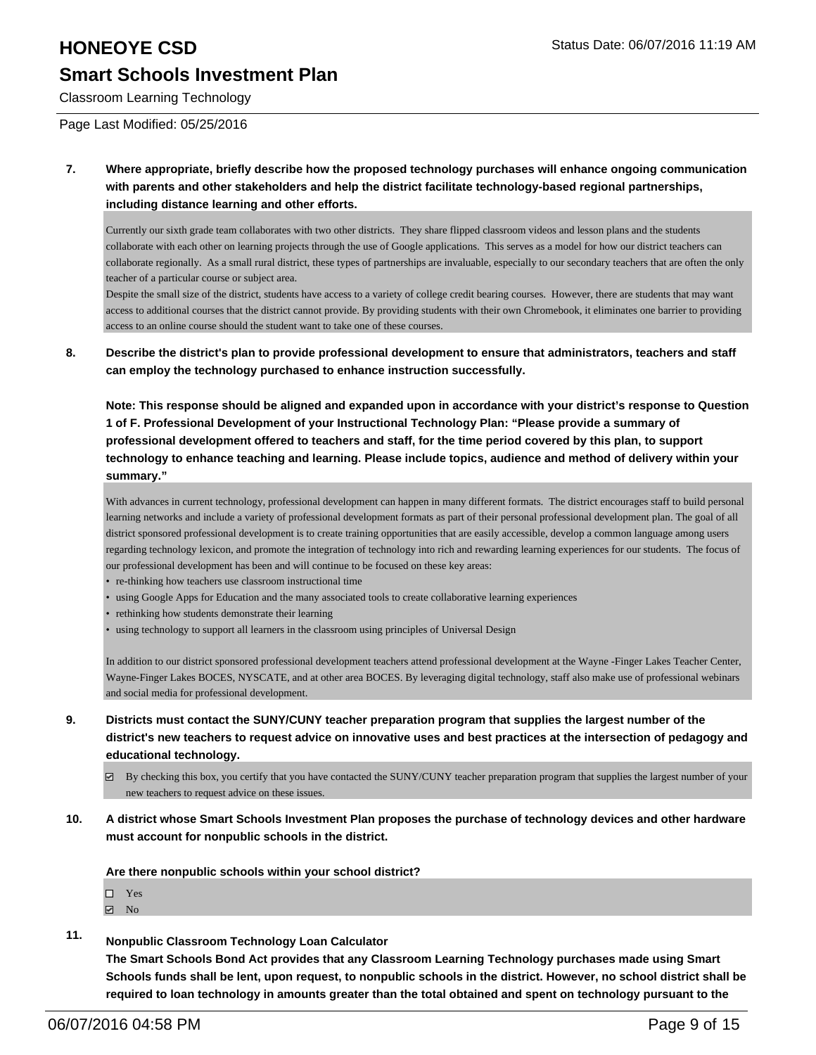Classroom Learning Technology

Page Last Modified: 05/25/2016

**7. Where appropriate, briefly describe how the proposed technology purchases will enhance ongoing communication with parents and other stakeholders and help the district facilitate technology-based regional partnerships, including distance learning and other efforts.**

Currently our sixth grade team collaborates with two other districts. They share flipped classroom videos and lesson plans and the students collaborate with each other on learning projects through the use of Google applications. This serves as a model for how our district teachers can collaborate regionally. As a small rural district, these types of partnerships are invaluable, especially to our secondary teachers that are often the only teacher of a particular course or subject area.

Despite the small size of the district, students have access to a variety of college credit bearing courses. However, there are students that may want access to additional courses that the district cannot provide. By providing students with their own Chromebook, it eliminates one barrier to providing access to an online course should the student want to take one of these courses.

**8. Describe the district's plan to provide professional development to ensure that administrators, teachers and staff can employ the technology purchased to enhance instruction successfully.**

**Note: This response should be aligned and expanded upon in accordance with your district's response to Question 1 of F. Professional Development of your Instructional Technology Plan: "Please provide a summary of professional development offered to teachers and staff, for the time period covered by this plan, to support technology to enhance teaching and learning. Please include topics, audience and method of delivery within your summary."**

With advances in current technology, professional development can happen in many different formats. The district encourages staff to build personal learning networks and include a variety of professional development formats as part of their personal professional development plan. The goal of all district sponsored professional development is to create training opportunities that are easily accessible, develop a common language among users regarding technology lexicon, and promote the integration of technology into rich and rewarding learning experiences for our students. The focus of our professional development has been and will continue to be focused on these key areas:

- re-thinking how teachers use classroom instructional time
- using Google Apps for Education and the many associated tools to create collaborative learning experiences
- rethinking how students demonstrate their learning
- using technology to support all learners in the classroom using principles of Universal Design

In addition to our district sponsored professional development teachers attend professional development at the Wayne -Finger Lakes Teacher Center, Wayne-Finger Lakes BOCES, NYSCATE, and at other area BOCES. By leveraging digital technology, staff also make use of professional webinars and social media for professional development.

- **9. Districts must contact the SUNY/CUNY teacher preparation program that supplies the largest number of the district's new teachers to request advice on innovative uses and best practices at the intersection of pedagogy and educational technology.**
	- $\boxtimes$  By checking this box, you certify that you have contacted the SUNY/CUNY teacher preparation program that supplies the largest number of your new teachers to request advice on these issues.
- **10. A district whose Smart Schools Investment Plan proposes the purchase of technology devices and other hardware must account for nonpublic schools in the district.**

**Are there nonpublic schools within your school district?**

| П | Yes |  |
|---|-----|--|
| ⊽ | Nο  |  |

**11. Nonpublic Classroom Technology Loan Calculator**

**The Smart Schools Bond Act provides that any Classroom Learning Technology purchases made using Smart Schools funds shall be lent, upon request, to nonpublic schools in the district. However, no school district shall be required to loan technology in amounts greater than the total obtained and spent on technology pursuant to the**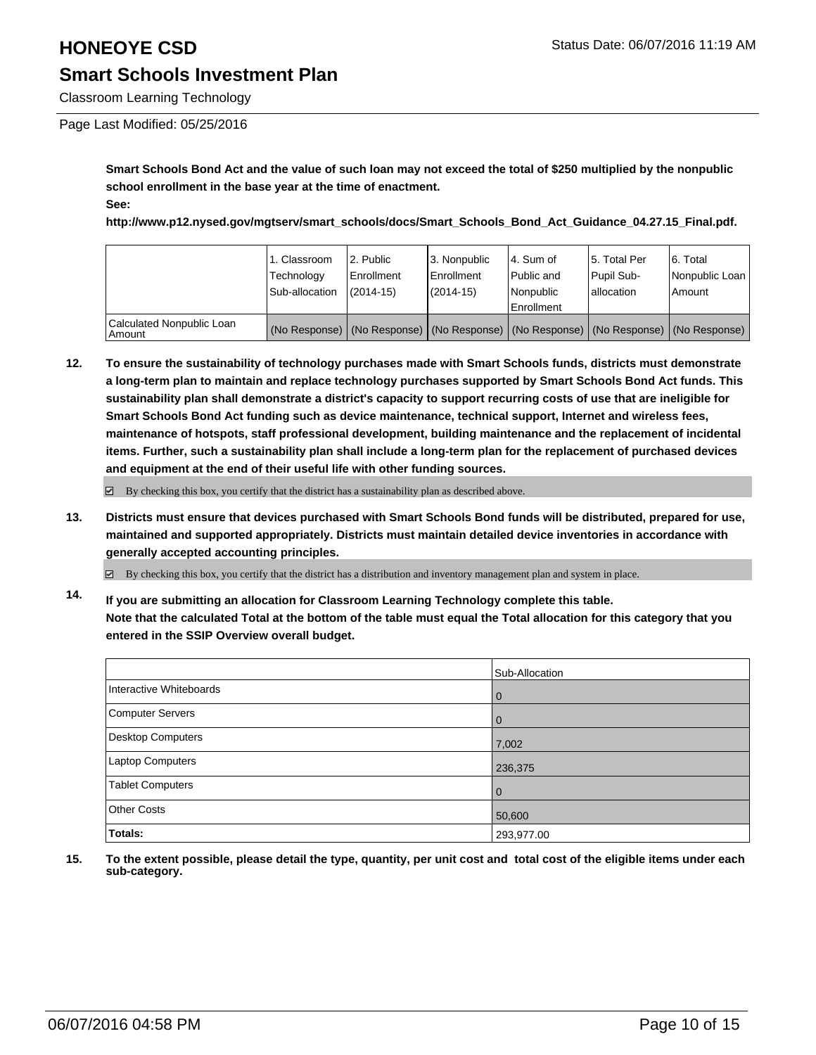Classroom Learning Technology

### Page Last Modified: 05/25/2016

**Smart Schools Bond Act and the value of such loan may not exceed the total of \$250 multiplied by the nonpublic school enrollment in the base year at the time of enactment. See:**

**http://www.p12.nysed.gov/mgtserv/smart\_schools/docs/Smart\_Schools\_Bond\_Act\_Guidance\_04.27.15\_Final.pdf.**

|                                       | 1. Classroom<br>Technology<br>Sub-allocation | 2. Public<br>Enrollment<br>$(2014-15)$ | 13. Nonpublic<br>l Enrollment<br>$(2014 - 15)$ | 14. Sum of<br>Public and<br>l Nonpublic<br>Enrollment                                         | 5. Total Per<br>Pupil Sub-<br>lallocation | 6. Total<br>Nonpublic Loan<br>Amount |
|---------------------------------------|----------------------------------------------|----------------------------------------|------------------------------------------------|-----------------------------------------------------------------------------------------------|-------------------------------------------|--------------------------------------|
| Calculated Nonpublic Loan<br>  Amount |                                              |                                        |                                                | (No Response)   (No Response)   (No Response)   (No Response)   (No Response)   (No Response) |                                           |                                      |

**12. To ensure the sustainability of technology purchases made with Smart Schools funds, districts must demonstrate a long-term plan to maintain and replace technology purchases supported by Smart Schools Bond Act funds. This sustainability plan shall demonstrate a district's capacity to support recurring costs of use that are ineligible for Smart Schools Bond Act funding such as device maintenance, technical support, Internet and wireless fees, maintenance of hotspots, staff professional development, building maintenance and the replacement of incidental items. Further, such a sustainability plan shall include a long-term plan for the replacement of purchased devices and equipment at the end of their useful life with other funding sources.**

 $\boxdot$  By checking this box, you certify that the district has a sustainability plan as described above.

**13. Districts must ensure that devices purchased with Smart Schools Bond funds will be distributed, prepared for use, maintained and supported appropriately. Districts must maintain detailed device inventories in accordance with generally accepted accounting principles.**

 $\boxtimes$  By checking this box, you certify that the district has a distribution and inventory management plan and system in place.

**14. If you are submitting an allocation for Classroom Learning Technology complete this table. Note that the calculated Total at the bottom of the table must equal the Total allocation for this category that you entered in the SSIP Overview overall budget.**

|                          | Sub-Allocation |
|--------------------------|----------------|
| Interactive Whiteboards  | $\mathbf 0$    |
| Computer Servers         | $\Omega$       |
| <b>Desktop Computers</b> | 7,002          |
| Laptop Computers         | 236,375        |
| <b>Tablet Computers</b>  | $\Omega$       |
| <b>Other Costs</b>       | 50,600         |
| Totals:                  | 293,977.00     |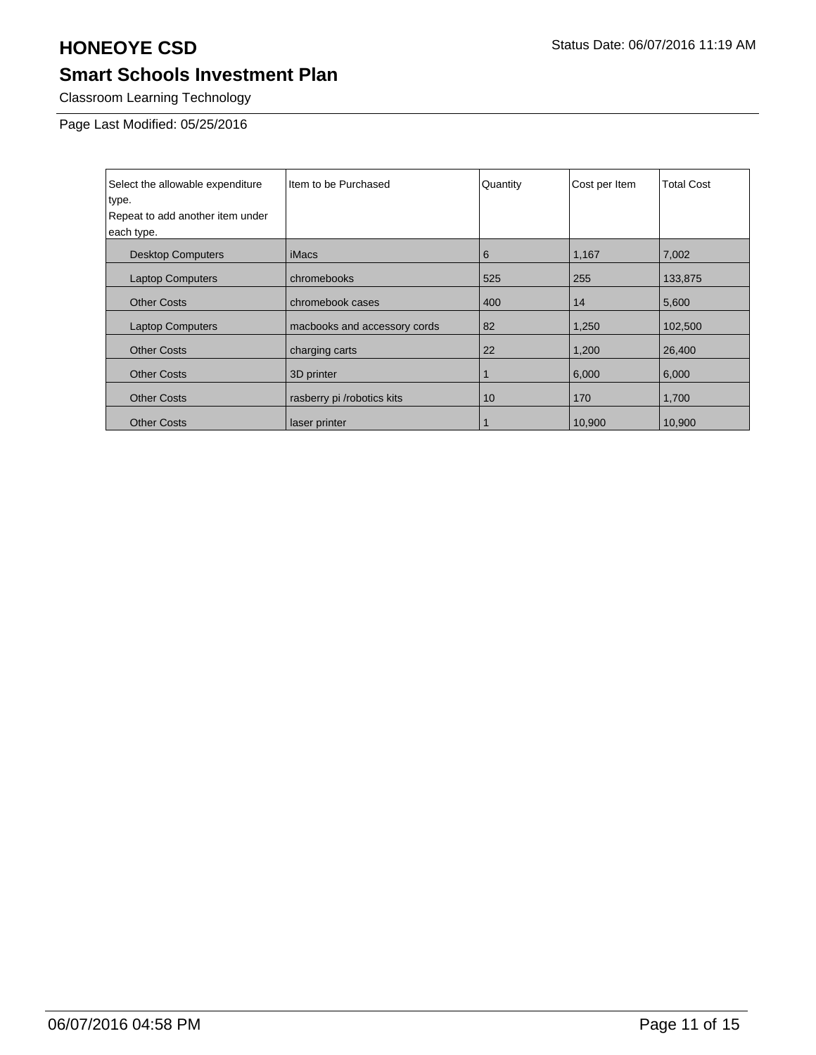Classroom Learning Technology

Page Last Modified: 05/25/2016

| Select the allowable expenditure<br>type.<br>Repeat to add another item under<br>each type. | Item to be Purchased         | Quantity | Cost per Item | <b>Total Cost</b> |
|---------------------------------------------------------------------------------------------|------------------------------|----------|---------------|-------------------|
| <b>Desktop Computers</b>                                                                    | <i>iMacs</i>                 | 6        | 1,167         | 7,002             |
| <b>Laptop Computers</b>                                                                     | chromebooks                  | 525      | 255           | 133,875           |
| <b>Other Costs</b>                                                                          | chromebook cases             | 400      | 14            | 5,600             |
| <b>Laptop Computers</b>                                                                     | macbooks and accessory cords | 82       | 1,250         | 102,500           |
| <b>Other Costs</b>                                                                          | charging carts               | 22       | 1,200         | 26,400            |
| <b>Other Costs</b>                                                                          | 3D printer                   |          | 6,000         | 6,000             |
| <b>Other Costs</b>                                                                          | rasberry pi /robotics kits   | 10       | 170           | 1,700             |
| <b>Other Costs</b>                                                                          | laser printer                |          | 10,900        | 10,900            |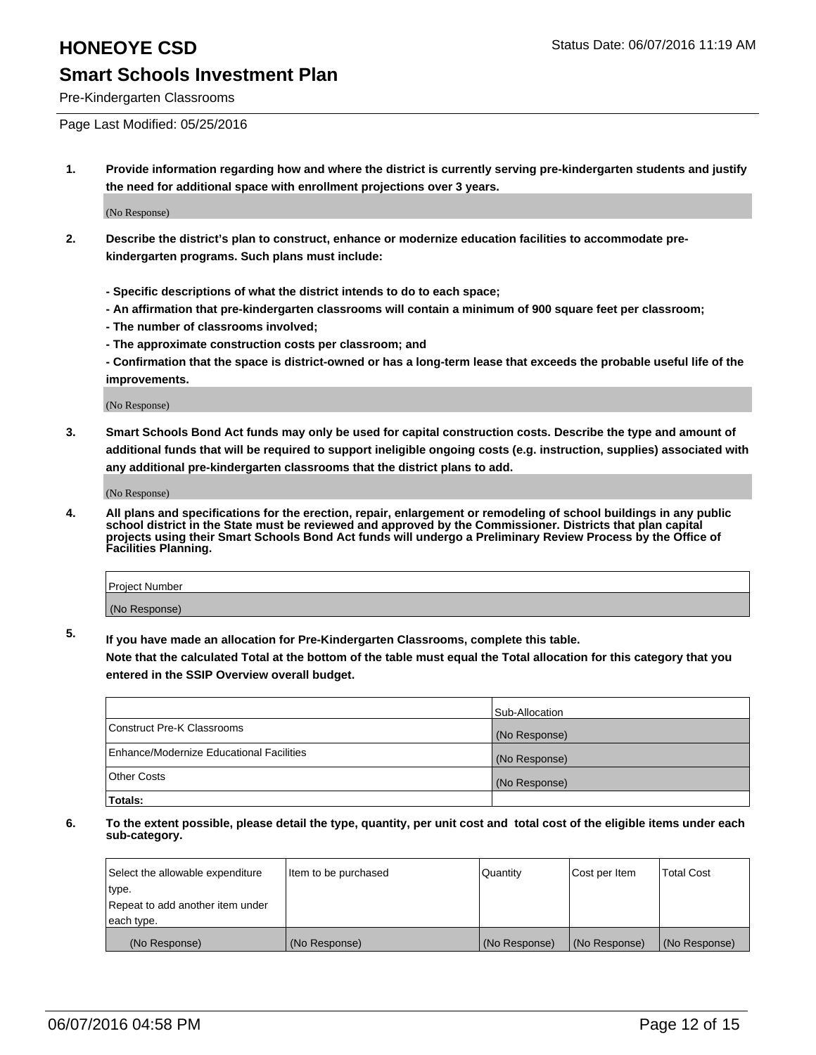Pre-Kindergarten Classrooms

Page Last Modified: 05/25/2016

**1. Provide information regarding how and where the district is currently serving pre-kindergarten students and justify the need for additional space with enrollment projections over 3 years.**

(No Response)

- **2. Describe the district's plan to construct, enhance or modernize education facilities to accommodate prekindergarten programs. Such plans must include:**
	- **Specific descriptions of what the district intends to do to each space;**
	- **An affirmation that pre-kindergarten classrooms will contain a minimum of 900 square feet per classroom;**
	- **The number of classrooms involved;**
	- **The approximate construction costs per classroom; and**
	- **Confirmation that the space is district-owned or has a long-term lease that exceeds the probable useful life of the improvements.**

(No Response)

**3. Smart Schools Bond Act funds may only be used for capital construction costs. Describe the type and amount of additional funds that will be required to support ineligible ongoing costs (e.g. instruction, supplies) associated with any additional pre-kindergarten classrooms that the district plans to add.**

(No Response)

**4. All plans and specifications for the erection, repair, enlargement or remodeling of school buildings in any public school district in the State must be reviewed and approved by the Commissioner. Districts that plan capital projects using their Smart Schools Bond Act funds will undergo a Preliminary Review Process by the Office of Facilities Planning.**

| <b>Project Number</b> |  |
|-----------------------|--|
| (No Response)         |  |

**5. If you have made an allocation for Pre-Kindergarten Classrooms, complete this table.**

**Note that the calculated Total at the bottom of the table must equal the Total allocation for this category that you entered in the SSIP Overview overall budget.**

|                                          | Sub-Allocation |
|------------------------------------------|----------------|
| Construct Pre-K Classrooms               | (No Response)  |
| Enhance/Modernize Educational Facilities | (No Response)  |
| Other Costs                              | (No Response)  |
| Totals:                                  |                |

| Select the allowable expenditure | Item to be purchased | Quantity      | Cost per Item | <b>Total Cost</b> |
|----------------------------------|----------------------|---------------|---------------|-------------------|
| type.                            |                      |               |               |                   |
| Repeat to add another item under |                      |               |               |                   |
| each type.                       |                      |               |               |                   |
| (No Response)                    | (No Response)        | (No Response) | (No Response) | (No Response)     |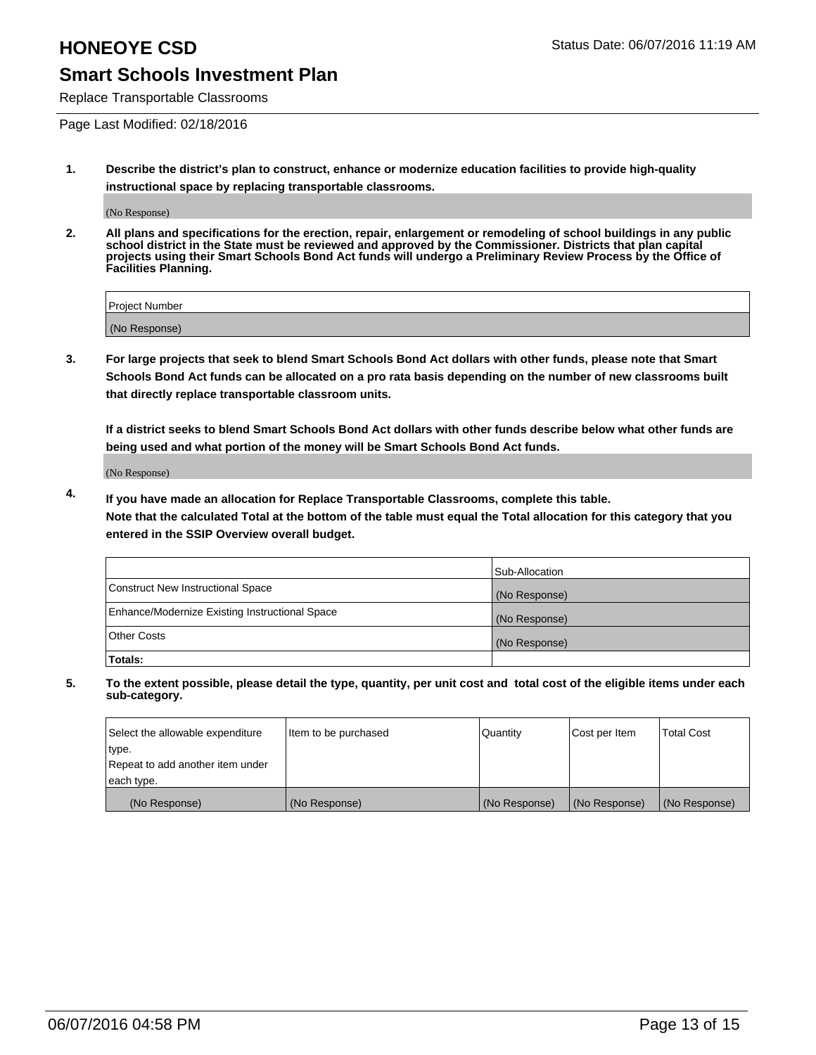Replace Transportable Classrooms

Page Last Modified: 02/18/2016

**1. Describe the district's plan to construct, enhance or modernize education facilities to provide high-quality instructional space by replacing transportable classrooms.**

(No Response)

**2. All plans and specifications for the erection, repair, enlargement or remodeling of school buildings in any public school district in the State must be reviewed and approved by the Commissioner. Districts that plan capital projects using their Smart Schools Bond Act funds will undergo a Preliminary Review Process by the Office of Facilities Planning.**

| <b>Project Number</b> |  |
|-----------------------|--|
| (No Response)         |  |

**3. For large projects that seek to blend Smart Schools Bond Act dollars with other funds, please note that Smart Schools Bond Act funds can be allocated on a pro rata basis depending on the number of new classrooms built that directly replace transportable classroom units.**

**If a district seeks to blend Smart Schools Bond Act dollars with other funds describe below what other funds are being used and what portion of the money will be Smart Schools Bond Act funds.**

(No Response)

**4. If you have made an allocation for Replace Transportable Classrooms, complete this table. Note that the calculated Total at the bottom of the table must equal the Total allocation for this category that you entered in the SSIP Overview overall budget.**

|                                                | Sub-Allocation |
|------------------------------------------------|----------------|
| Construct New Instructional Space              | (No Response)  |
| Enhance/Modernize Existing Instructional Space | (No Response)  |
| <b>Other Costs</b>                             | (No Response)  |
| Totals:                                        |                |

| Select the allowable expenditure | Item to be purchased | <b>Quantity</b> | Cost per Item | <b>Total Cost</b> |
|----------------------------------|----------------------|-----------------|---------------|-------------------|
| type.                            |                      |                 |               |                   |
| Repeat to add another item under |                      |                 |               |                   |
| each type.                       |                      |                 |               |                   |
| (No Response)                    | (No Response)        | (No Response)   | (No Response) | (No Response)     |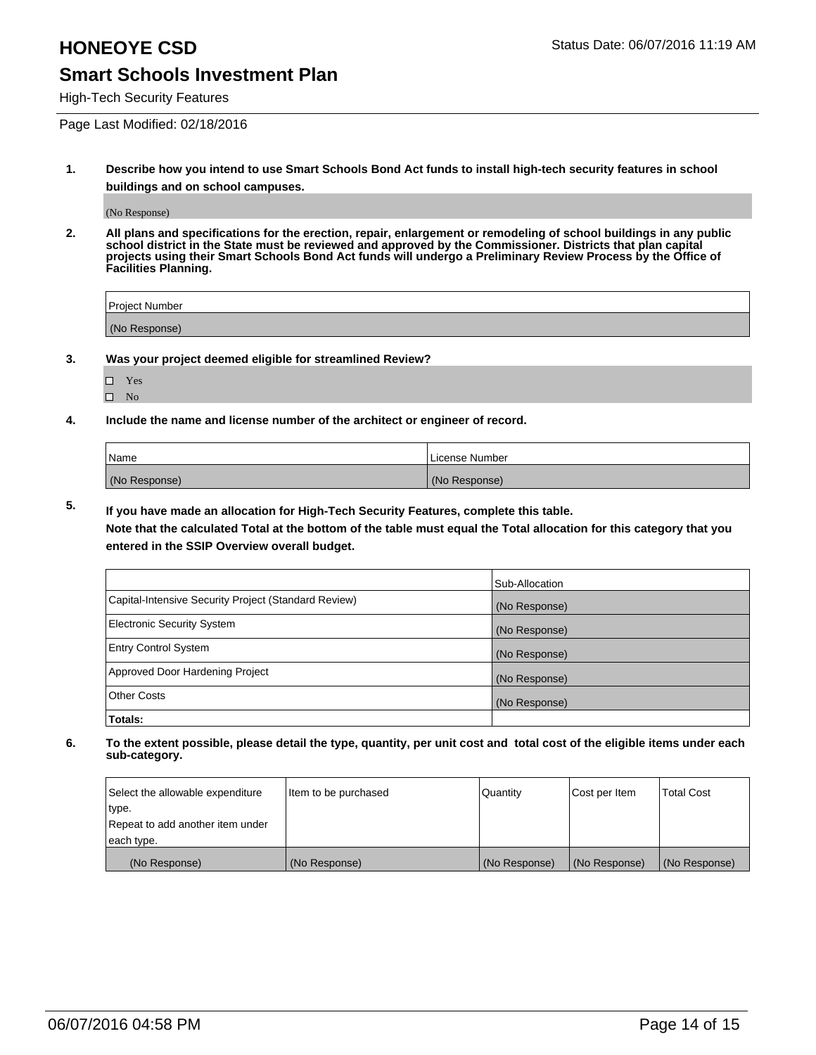High-Tech Security Features

Page Last Modified: 02/18/2016

**1. Describe how you intend to use Smart Schools Bond Act funds to install high-tech security features in school buildings and on school campuses.**

(No Response)

**2. All plans and specifications for the erection, repair, enlargement or remodeling of school buildings in any public school district in the State must be reviewed and approved by the Commissioner. Districts that plan capital projects using their Smart Schools Bond Act funds will undergo a Preliminary Review Process by the Office of Facilities Planning.** 

| Project Number |  |
|----------------|--|
| (No Response)  |  |

**3. Was your project deemed eligible for streamlined Review?**

□ Yes  $\hfill \square$  <br> No

**4. Include the name and license number of the architect or engineer of record.**

| Name          | License Number |
|---------------|----------------|
| (No Response) | (No Response)  |

**5. If you have made an allocation for High-Tech Security Features, complete this table.**

**Note that the calculated Total at the bottom of the table must equal the Total allocation for this category that you entered in the SSIP Overview overall budget.**

|                                                      | Sub-Allocation |
|------------------------------------------------------|----------------|
| Capital-Intensive Security Project (Standard Review) | (No Response)  |
| <b>Electronic Security System</b>                    | (No Response)  |
| <b>Entry Control System</b>                          | (No Response)  |
| Approved Door Hardening Project                      | (No Response)  |
| <b>Other Costs</b>                                   | (No Response)  |
| Totals:                                              |                |

| Select the allowable expenditure | Item to be purchased | Quantity      | Cost per Item | <b>Total Cost</b> |
|----------------------------------|----------------------|---------------|---------------|-------------------|
| type.                            |                      |               |               |                   |
| Repeat to add another item under |                      |               |               |                   |
| each type.                       |                      |               |               |                   |
| (No Response)                    | (No Response)        | (No Response) | (No Response) | (No Response)     |